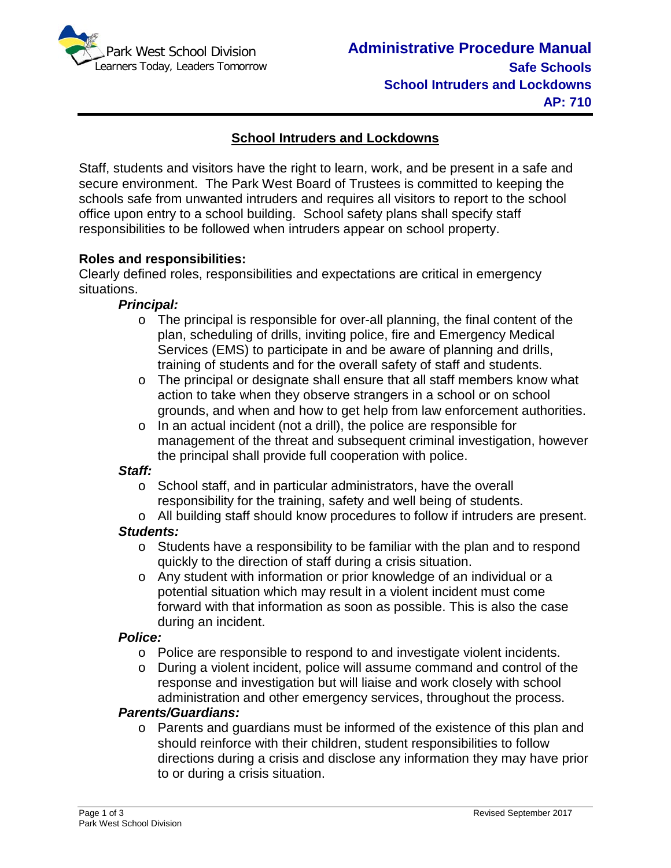

# **School Intruders and Lockdowns**

Staff, students and visitors have the right to learn, work, and be present in a safe and secure environment. The Park West Board of Trustees is committed to keeping the schools safe from unwanted intruders and requires all visitors to report to the school office upon entry to a school building. School safety plans shall specify staff responsibilities to be followed when intruders appear on school property.

## **Roles and responsibilities:**

Clearly defined roles, responsibilities and expectations are critical in emergency situations.

#### *Principal:*

- o The principal is responsible for over-all planning, the final content of the plan, scheduling of drills, inviting police, fire and Emergency Medical Services (EMS) to participate in and be aware of planning and drills, training of students and for the overall safety of staff and students.
- o The principal or designate shall ensure that all staff members know what action to take when they observe strangers in a school or on school grounds, and when and how to get help from law enforcement authorities.
- o In an actual incident (not a drill), the police are responsible for management of the threat and subsequent criminal investigation, however the principal shall provide full cooperation with police.

#### *Staff:*

- o School staff, and in particular administrators, have the overall responsibility for the training, safety and well being of students.
- o All building staff should know procedures to follow if intruders are present. *Students:*
	- $\circ$  Students have a responsibility to be familiar with the plan and to respond quickly to the direction of staff during a crisis situation.
	- o Any student with information or prior knowledge of an individual or a potential situation which may result in a violent incident must come forward with that information as soon as possible. This is also the case during an incident.

#### *Police:*

- o Police are responsible to respond to and investigate violent incidents.
- o During a violent incident, police will assume command and control of the response and investigation but will liaise and work closely with school administration and other emergency services, throughout the process.

## *Parents/Guardians:*

o Parents and guardians must be informed of the existence of this plan and should reinforce with their children, student responsibilities to follow directions during a crisis and disclose any information they may have prior to or during a crisis situation.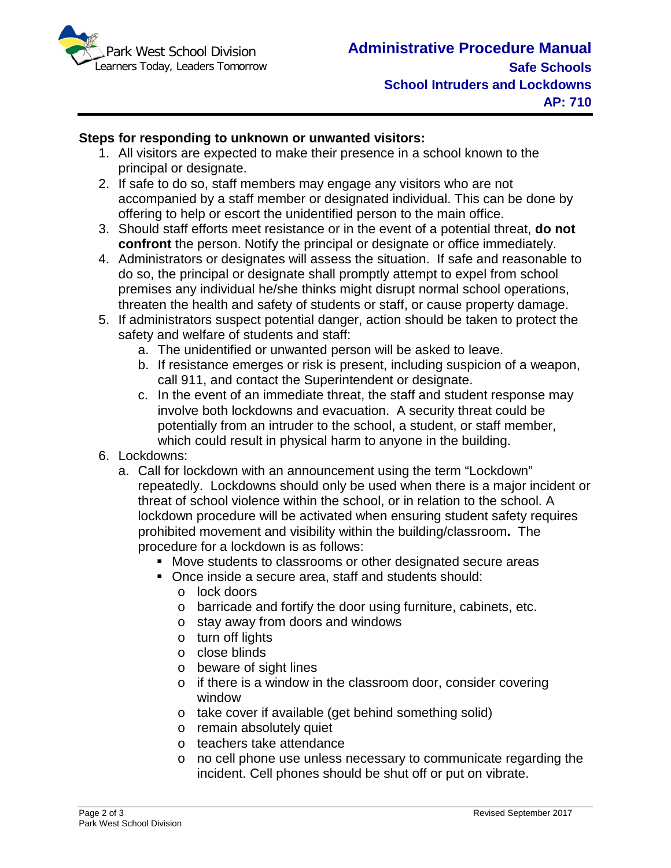

## **Steps for responding to unknown or unwanted visitors:**

- 1. All visitors are expected to make their presence in a school known to the principal or designate.
- 2. If safe to do so, staff members may engage any visitors who are not accompanied by a staff member or designated individual. This can be done by offering to help or escort the unidentified person to the main office.
- 3. Should staff efforts meet resistance or in the event of a potential threat, **do not confront** the person. Notify the principal or designate or office immediately.
- 4. Administrators or designates will assess the situation. If safe and reasonable to do so, the principal or designate shall promptly attempt to expel from school premises any individual he/she thinks might disrupt normal school operations, threaten the health and safety of students or staff, or cause property damage.
- 5. If administrators suspect potential danger, action should be taken to protect the safety and welfare of students and staff:
	- a. The unidentified or unwanted person will be asked to leave.
	- b. If resistance emerges or risk is present, including suspicion of a weapon, call 911, and contact the Superintendent or designate.
	- c. In the event of an immediate threat, the staff and student response may involve both lockdowns and evacuation. A security threat could be potentially from an intruder to the school, a student, or staff member, which could result in physical harm to anyone in the building.
- 6. Lockdowns:
	- a. Call for lockdown with an announcement using the term "Lockdown" repeatedly. Lockdowns should only be used when there is a major incident or threat of school violence within the school, or in relation to the school. A lockdown procedure will be activated when ensuring student safety requires prohibited movement and visibility within the building/classroom**.** The procedure for a lockdown is as follows:
		- Move students to classrooms or other designated secure areas
		- Once inside a secure area, staff and students should:
			- o lock doors
			- o barricade and fortify the door using furniture, cabinets, etc.
			- o stay away from doors and windows
			- o turn off lights
			- o close blinds
			- o beware of sight lines
			- o if there is a window in the classroom door, consider covering window
			- o take cover if available (get behind something solid)
			- o remain absolutely quiet
			- o teachers take attendance
			- o no cell phone use unless necessary to communicate regarding the incident. Cell phones should be shut off or put on vibrate.